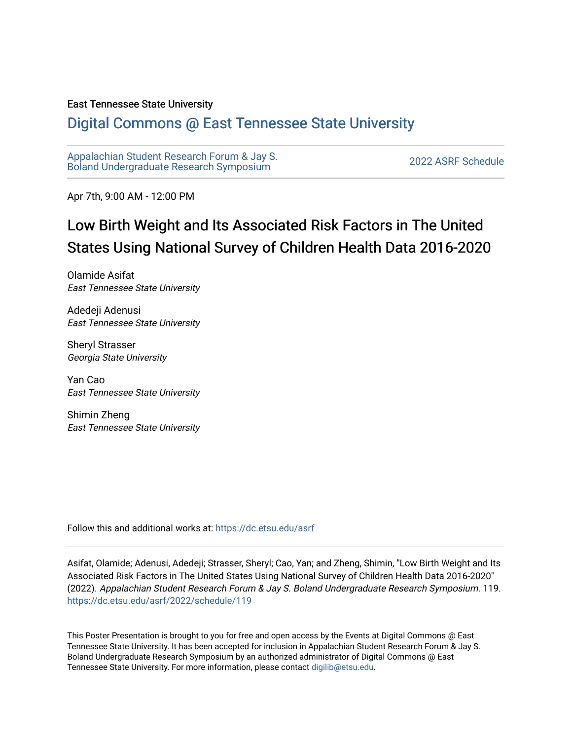#### East Tennessee State University

#### [Digital Commons @ East Tennessee State University](https://dc.etsu.edu/)

[Appalachian Student Research Forum & Jay S.](https://dc.etsu.edu/asrf)  Appalactifalt Student Research Forum & Jay S.<br>Boland Undergraduate Research Symposium

Apr 7th, 9:00 AM - 12:00 PM

#### Low Birth Weight and Its Associated Risk Factors in The United States Using National Survey of Children Health Data 2016-2020

Olamide Asifat East Tennessee State University

Adedeji Adenusi East Tennessee State University

Sheryl Strasser Georgia State University

Yan Cao East Tennessee State University

Shimin Zheng East Tennessee State University

Follow this and additional works at: [https://dc.etsu.edu/asrf](https://dc.etsu.edu/asrf?utm_source=dc.etsu.edu%2Fasrf%2F2022%2Fschedule%2F119&utm_medium=PDF&utm_campaign=PDFCoverPages) 

Asifat, Olamide; Adenusi, Adedeji; Strasser, Sheryl; Cao, Yan; and Zheng, Shimin, "Low Birth Weight and Its Associated Risk Factors in The United States Using National Survey of Children Health Data 2016-2020" (2022). Appalachian Student Research Forum & Jay S. Boland Undergraduate Research Symposium. 119. [https://dc.etsu.edu/asrf/2022/schedule/119](https://dc.etsu.edu/asrf/2022/schedule/119?utm_source=dc.etsu.edu%2Fasrf%2F2022%2Fschedule%2F119&utm_medium=PDF&utm_campaign=PDFCoverPages) 

This Poster Presentation is brought to you for free and open access by the Events at Digital Commons @ East Tennessee State University. It has been accepted for inclusion in Appalachian Student Research Forum & Jay S. Boland Undergraduate Research Symposium by an authorized administrator of Digital Commons @ East Tennessee State University. For more information, please contact [digilib@etsu.edu](mailto:digilib@etsu.edu).